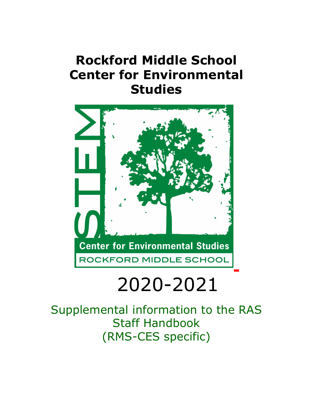## **Rockford Middle School Center for Environmental Studies**



# 2020-2021

<span id="page-0-0"></span>Supplemental information to the RAS Staff Handbook (RMS-CES specific)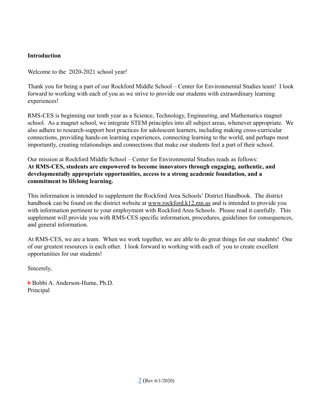#### **Introduction**

Welcome to the 2020-2021 school year!

Thank you for being a part of our Rockford Middle School – Center for Environmental Studies team! I look forward to working with each of you as we strive to provide our students with extraordinary learning experiences!

RMS-CES is beginning our tenth year as a Science, Technology, Engineering, and Mathematics magnet school. As a magnet school, we integrate STEM principles into all subject areas, whenever appropriate. We also adhere to research-support best practices for adolescent learners, including making cross-curricular connections, providing hands-on learning experiences, connecting learning to the world, and perhaps most importantly, creating relationships and connections that make our students feel a part of their school.

Our mission at Rockford Middle School – Center for Environmental Studies reads as follows: **At RMS-CES, students are empowered to become innovators through engaging, authentic, and developmentally appropriate opportunities, access to a strong academic foundation, and a commitment to lifelong learning.**

This information is intended to supplement the Rockford Area Schools' District Handbook. The district handbook can be found on the district website at [www.rockford.k12.mn.us](http://www.rockford.k12.mn.us) and is intended to provide you with information pertinent to your employment with Rockford Area Schools. Please read it carefully. This supplement will provide you with RMS-CES specific information, procedures, guidelines for consequences, and general information.

At RMS-CES, we are a team. When we work together, we are able to do great things for our students! One of our greatest resources is each other. I look forward to working with each of you to create excellent opportunities for our students!

Sincerely,

b Bobbi A. Anderson-Hume, Ph.D. Principal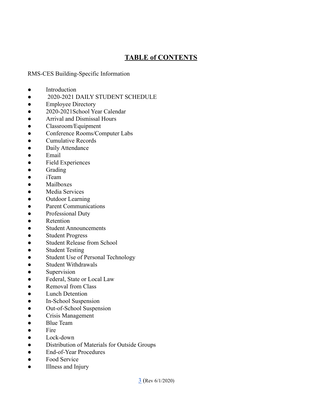## **TABLE of CONTENTS**

#### RMS-CES Building-Specific Information

- [Introduction](#page-0-0)
- [2020-2021 DAILY STUDENT SCHEDULE](#page-4-0)
- [Employee Directory](#page-5-0)
- [2020-2021School Year Calendar](https://www.rockford.k12.mn.us/Page/2352)
- [Arrival and Dismissal Hours](#page-8-0)
- [Classroom/Equipment](#page-9-0)
- [Conference Rooms/Computer Labs](#page-9-1)
- [Cumulative Records](#page-9-2)
- [Daily Attendance](#page-9-3)
- [Email](#page-9-4)
- [Field Experiences](#page-10-0)
- [Grading](#page-10-1)
- [iTeam](#page-10-2)
- [Mailboxes](#page-10-3)
- [Media Services](#page-10-4)
- [Outdoor Learning](#page-11-0)
- [Parent Communications](#page-11-1)
- [Professional Duty](#page-11-2)
- [Retention](#page-12-0)
- [Student Announcements](#page-12-1)
- [Student Progress](#page-12-2)
- [Student Release from School](#page-12-3)
- [Student Testing](#page-12-4)
- [Student Use of Personal Technology](#page-13-0)
- [Student Withdrawals](#page-13-1)
- [Supervision](#page-13-2)
- [Federal, State or Local Law](#page-14-0)
- [Removal from Class](#page-14-1)
- [Lunch Detention](#page-14-2)
- [In-School Suspension](#page-14-3)
- [Out-of-School Suspension](#page-15-0)
- [Crisis Management](#page-17-0)
- Blue Team
- Fire
- [Lock-down](#page-17-1)
- [Distribution of Materials for Outside Groups](#page-18-0)
- [End-of-Year Procedures](#page-18-1)
- [Food Service](#page-18-2)
- [Illness and Injury](#page-18-3)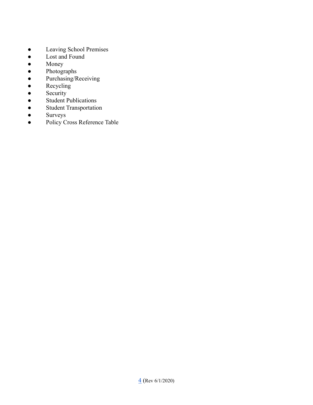- [Leaving School Premises](#page-19-0)
- [Lost and Found](#page-19-1)<br>• Money
- [Money](#page-19-2)
- [Photographs](#page-19-3)
- [Purchasing/Receiving](#page-19-4)<br>• Recycling
- [Recycling](#page-19-5)
- $\bullet$  [Security](#page-19-6)
- [Student Publications](#page-20-0)<br>• Student Transportation
- **[Student Transportation](#page-20-1)**
- [Surveys](#page-20-2)
- [Policy Cross Reference Table](#page-21-0)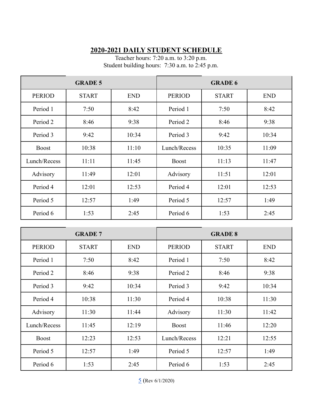## **2020-2021 DAILY STUDENT SCHEDULE**

Teacher hours: 7:20 a.m. to 3:20 p.m. Student building hours: 7:30 a.m. to 2:45 p.m.

<span id="page-4-0"></span>

|               | <b>GRADE 5</b> |            |               | <b>GRADE 6</b> |            |
|---------------|----------------|------------|---------------|----------------|------------|
| <b>PERIOD</b> | <b>START</b>   | <b>END</b> | <b>PERIOD</b> | <b>START</b>   | <b>END</b> |
| Period 1      | 7:50           | 8:42       | Period 1      | 7:50           | 8:42       |
| Period 2      | 8:46           | 9:38       | Period 2      | 8:46           | 9:38       |
| Period 3      | 9:42           | 10:34      | Period 3      | 9:42           | 10:34      |
| <b>Boost</b>  | 10:38          | 11:10      | Lunch/Recess  | 10:35          | 11:09      |
| Lunch/Recess  | 11:11          | 11:45      | <b>Boost</b>  | 11:13          | 11:47      |
| Advisory      | 11:49          | 12:01      | Advisory      | 11:51          | 12:01      |
| Period 4      | 12:01          | 12:53      | Period 4      | 12:01          | 12:53      |
| Period 5      | 12:57          | 1:49       | Period 5      | 12:57          | 1:49       |
| Period 6      | 1:53           | 2:45       | Period 6      | 1:53           | 2:45       |

|               | <b>GRADE 7</b> |            |               | <b>GRADE 8</b> |            |
|---------------|----------------|------------|---------------|----------------|------------|
| <b>PERIOD</b> | <b>START</b>   | <b>END</b> | <b>PERIOD</b> | <b>START</b>   | <b>END</b> |
| Period 1      | 7:50           | 8:42       | Period 1      | 7:50           | 8:42       |
| Period 2      | 8:46           | 9:38       | Period 2      | 8:46           | 9:38       |
| Period 3      | 9:42           | 10:34      | Period 3      | 9:42           | 10:34      |
| Period 4      | 10:38          | 11:30      | Period 4      | 10:38          | 11:30      |
| Advisory      | 11:30          | 11:44      | Advisory      | 11:30          | 11:42      |
| Lunch/Recess  | 11:45          | 12:19      | <b>Boost</b>  | 11:46          | 12:20      |
| <b>Boost</b>  | 12:23          | 12:53      | Lunch/Recess  | 12:21          | 12:55      |
| Period 5      | 12:57          | 1:49       | Period 5      | 12:57          | 1:49       |
| Period 6      | 1:53           | 2:45       | Period 6      | 1:53           | 2:45       |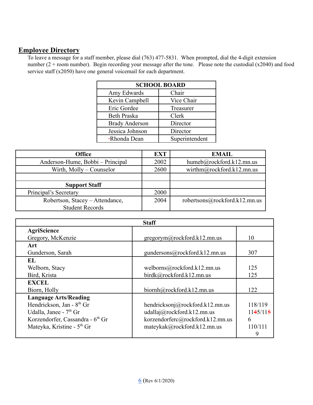## <span id="page-5-0"></span>**Employee Directory**

To leave a message for a staff member, please dial (763) 477-5831. When prompted, dial the 4-digit extension number (2 + room number). Begin recording your message after the tone. Please note the custodial (x2040) and food service staff (x2050) have one general voicemail for each department.

| <b>SCHOOL BOARD</b>   |                |  |
|-----------------------|----------------|--|
| Amy Edwards           | Chair          |  |
| Kevin Campbell        | Vice Chair     |  |
| Eric Gordee           | Treasurer      |  |
| Beth Praska           | Clerk          |  |
| <b>Brady Anderson</b> | Director       |  |
| Jessica Johnson       | Director       |  |
| -Rhonda Dean          | Superintendent |  |

| <b>Office</b>                    | <b>EXT</b> | <b>EMAIL</b>                  |
|----------------------------------|------------|-------------------------------|
| Anderson-Hume, Bobbi – Principal | 2002       | humeb $@$ rockford.k12.mn.us  |
| Wirth, Molly – Counselor         | 2600       | wirthm@rockford.k12.mn.us     |
|                                  |            |                               |
| <b>Support Staff</b>             |            |                               |
| Principal's Secretary            | 2000       |                               |
| Robertson, Stacey - Attendance,  | 2004       | robertsons@rockford.k12.mn.us |
| <b>Student Records</b>           |            |                               |

| <b>Staff</b>                                 |                                  |          |  |
|----------------------------------------------|----------------------------------|----------|--|
| <b>AgriScience</b>                           |                                  |          |  |
| Gregory, McKenzie                            | gregorym@rockford.k12.mn.us      | 10       |  |
| Art                                          |                                  |          |  |
| Gunderson, Sarah                             | gundersons@rockford.k12.mn.us    | 307      |  |
| EL                                           |                                  |          |  |
| Welborn, Stacy                               | welborns@rockford.k12.mn.us      | 125      |  |
| Bird, Krista                                 | birdk@rockford.k12.mn.us         | 125      |  |
| <b>EXCEL</b>                                 |                                  |          |  |
| Biorn, Holly                                 | biornh@rockford.k12.mn.us        | 122      |  |
| <b>Language Arts/Reading</b>                 |                                  |          |  |
| Hendrickson, Jan - 8 <sup>th</sup> Gr        | hendricksonj@rockford.k12.mn.us  | 118/119  |  |
| Udalla, Janee - 7 <sup>th</sup> Gr           | udallaj@rockford.k12.mn.us       | 1145/115 |  |
| Korzendorfer, Cassandra - 6 <sup>th</sup> Gr | korzendorferc@rockford.k12.mn.us | 6        |  |
| Mateyka, Kristine - $5th$ Gr                 | mateykak@rockford.k12.mn.us      | 110/111  |  |
|                                              |                                  | 9        |  |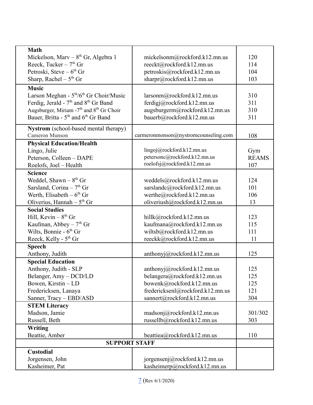| <b>Math</b>                                                     |                                      |              |
|-----------------------------------------------------------------|--------------------------------------|--------------|
| Mickelson, Marv $-8$ <sup>th</sup> Gr, Algebra 1                | mickelsonm@rockford.k12.mn.us        | 120          |
| Reeck, Tucker $-7th$ Gr                                         | reeckt@rockford.k12.mn.us            | 114          |
| Petroski, Steve – $6th$ Gr                                      | petroskis@rockford.k12.mn.us         | 104          |
| Sharp, Rachel $-5th$ Gr                                         | sharpr@rockford.k12.mn.us            | 103          |
| <b>Music</b>                                                    |                                      |              |
| Larson Meghan - 5 <sup>th</sup> /6 <sup>th</sup> Gr Choir/Music | larsonm@rockford.k12.mn.us           | 310          |
| Ferdig, Jerald - 7 <sup>th</sup> and 8 <sup>th</sup> Gr Band    | ferdigj@rockford.k12.mn.us           | 311          |
| Augsburger, Miriam $-7th$ and $8th$ Gr Choir                    | augsburgerm@rockford.k12.mn.us       | 310          |
| Bauer, Britta - 5 <sup>th</sup> and 6 <sup>th</sup> Gr Band     | bauerb@rockford.k12.mn.us            | 311          |
|                                                                 |                                      |              |
| Nystrom (school-based mental therapy)                           |                                      |              |
| Cameron Munson                                                  | carmeronmonson@nystromcounseling.com | 108          |
| <b>Physical Education/Health</b>                                |                                      |              |
| Lingo, Julie                                                    | lingoj@rockford.k12.mn.us            | Gym          |
| Peterson, Colleen - DAPE                                        | petersonc@rockford.k12.mn.us         | <b>REAMS</b> |
| Roelofs, Joel - Health                                          | roelofsj@rockford.k12.mn.us          | 107          |
| <b>Science</b>                                                  |                                      |              |
| Weddel, Shawn $-8$ <sup>th</sup> Gr                             | weddels@rockford.k12.mn.us           | 124          |
| Sarsland, Corina $-7th$ Gr                                      | sarslandc@rockford.k12.mn.us         | 101          |
| Werth, Elisabeth $-6th$ Gr                                      | werthe@rockford.k12.mn.us            | 106          |
| Oliverius, Hannah $-5th$ Gr                                     | oliveriush@rockford.k12.mn.us        | 13           |
| <b>Social Studies</b>                                           |                                      |              |
| Hill, Kevin $-8th$ Gr                                           | hillk@rockford.k12.mn.us             | 123          |
| Kaufman, Abbey $-7th$ Gr                                        | kaufmana@rockford.k12.mn.us          | 115          |
| Wilts, Bonnie - $6th$ Gr                                        | wiltsb@rockford.k12.mn.us            | 111          |
| Reeck, Kelly - $5th$ Gr                                         | reeckk@rockford.k12.mn.us            | 11           |
| <b>Speech</b>                                                   |                                      |              |
| Anthony, Judith                                                 | anthonyj@rockford.k12.mn.us          | 125          |
| <b>Special Education</b>                                        |                                      |              |
| Anthony, Judith - SLP                                           | anthonyj@rockford.k12.mn.us          | 125          |
| Belanger, Amy - DCD/LD                                          | belangera@rockford.k12.mn.us         | 125          |
| Bowen, Kirstin - LD                                             | bowenk@rockford.k12.mn.us            | 125          |
| Fredericksen, Lanaya                                            | fredericksenl@rockford.k12.mn.us     | 121          |
| Sanner, Tracy - EBD/ASD                                         | sannert@rockford.k12.mn.us           | 304          |
| <b>STEM Literacy</b>                                            |                                      |              |
| Madson, Jamie                                                   | madsonj@rockford.k12.mn.us           | 301/302      |
| Russell, Beth                                                   | russellb@rockford.k12.mn.us          | 303          |
| Writing                                                         |                                      |              |
| Beattie, Amber                                                  | beattiea@rockford.k12.mn.us          | 110          |
| <b>SUPPORT STAFF</b>                                            |                                      |              |
| <b>Custodial</b>                                                |                                      |              |
| Jorgensen, John                                                 | jorgensenj@rockford.k12.mn.us        |              |
| Kasheimer, Pat                                                  | kasheimerp@rockford.k12.mn.us        |              |
|                                                                 |                                      |              |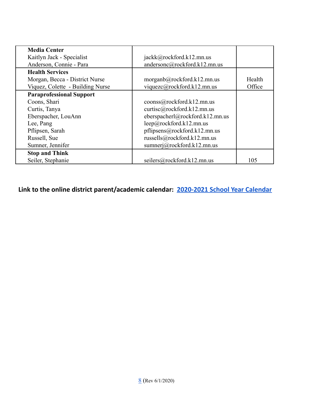| <b>Media Center</b>              |                                        |        |
|----------------------------------|----------------------------------------|--------|
| Kaitlyn Jack - Specialist        | jackk@rockford.k12.mn.us               |        |
| Anderson, Connie - Para          | andersonc@rockford.k12.mn.us           |        |
| <b>Health Services</b>           |                                        |        |
| Morgan, Becca - District Nurse   | morganb@rockford.k12.mn.us             | Health |
| Viquez, Colette - Building Nurse | viquezc@rockford.k12.mn.us             | Office |
| <b>Paraprofessional Support</b>  |                                        |        |
| Coons, Shari                     | coonss@rockford.k12.mn.us              |        |
| Curtis, Tanya                    | curtisc@rockford.k12.mn.us             |        |
| Eberspacher, LouAnn              | eberspacherl@rockford.k12.mn.us        |        |
| Lee, Pang                        | $leep(\widehat{a})$ rockford.k12.mn.us |        |
| Pflipsen, Sarah                  | pflipsens@rockford.k12.mn.us           |        |
| Russell, Sue                     | russells@rockford.k12.mn.us            |        |
| Sumner, Jennifer                 | sumnerj@rockford.k12.mn.us             |        |
| <b>Stop and Think</b>            |                                        |        |
| Seiler, Stephanie                | seilers@rockford.k12.mn.us             | 105    |

**Link to the online district parent/academic calendar: [2020-2021](https://www.rockford.k12.mn.us/Page/2352) School Year Calendar**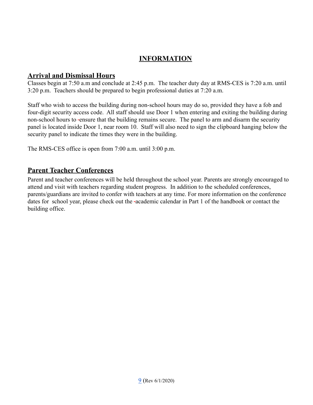## **INFORMATION**

#### <span id="page-8-0"></span>**Arrival and Dismissal Hours**

Classes begin at 7:50 a.m and conclude at 2:45 p.m. The teacher duty day at RMS-CES is 7:20 a.m. until 3:20 p.m. Teachers should be prepared to begin professional duties at 7:20 a.m.

Staff who wish to access the building during non-school hours may do so, provided they have a fob and four-digit security access code. All staff should use Door 1 when entering and exiting the building during non-school hours to ensure that the building remains secure. The panel to arm and disarm the security panel is located inside Door 1, near room 10. Staff will also need to sign the clipboard hanging below the security panel to indicate the times they were in the building.

The RMS-CES office is open from 7:00 a.m. until 3:00 p.m.

## **Parent Teacher Conferences**

Parent and teacher conferences will be held throughout the school year. Parents are strongly encouraged to attend and visit with teachers regarding student progress. In addition to the scheduled conferences, parents/guardians are invited to confer with teachers at any time. For more information on the conference dates for school year, please check out the -academic calendar in Part 1 of the handbook or contact the building office.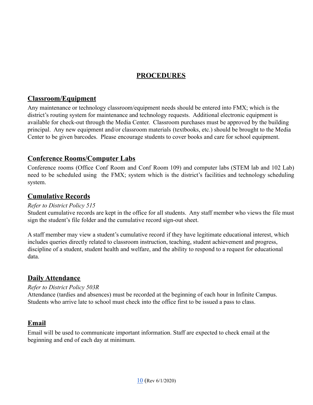## **PROCEDURES**

#### <span id="page-9-0"></span>**Classroom/Equipment**

Any maintenance or technology classroom/equipment needs should be entered into FMX; which is the district's routing system for maintenance and technology requests. Additional electronic equipment is available for check-out through the Media Center. Classroom purchases must be approved by the building principal. Any new equipment and/or classroom materials (textbooks, etc.) should be brought to the Media Center to be given barcodes. Please encourage students to cover books and care for school equipment.

## <span id="page-9-1"></span>**Conference Rooms/Computer Labs**

Conference rooms (Office Conf Room and Conf Room 109) and computer labs (STEM lab and 102 Lab) need to be scheduled using the FMX; system which is the district's facilities and technology scheduling system.

## <span id="page-9-2"></span>**Cumulative Records**

#### *Refer to District Policy 515*

Student cumulative records are kept in the office for all students. Any staff member who views the file must sign the student's file folder and the cumulative record sign-out sheet.

A staff member may view a student's cumulative record if they have legitimate educational interest, which includes queries directly related to classroom instruction, teaching, student achievement and progress, discipline of a student, student health and welfare, and the ability to respond to a request for educational data.

## <span id="page-9-3"></span>**Daily Attendance**

#### *Refer to District Policy 503R*

Attendance (tardies and absences) must be recorded at the beginning of each hour in Infinite Campus. Students who arrive late to school must check into the office first to be issued a pass to class.

#### <span id="page-9-4"></span>**Email**

Email will be used to communicate important information. Staff are expected to check email at the beginning and end of each day at minimum.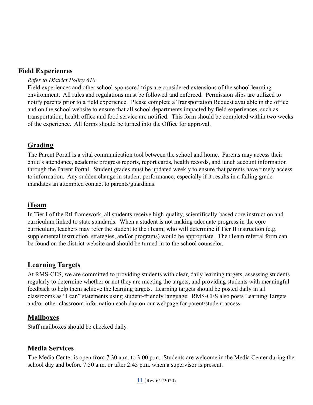## <span id="page-10-0"></span>**Field Experiences**

#### *Refer to District Policy 610*

Field experiences and other school-sponsored trips are considered extensions of the school learning environment. All rules and regulations must be followed and enforced. Permission slips are utilized to notify parents prior to a field experience. Please complete a Transportation Request available in the office and on the school website to ensure that all school departments impacted by field experiences, such as transportation, health office and food service are notified. This form should be completed within two weeks of the experience. All forms should be turned into the Office for approval.

## <span id="page-10-1"></span>**Grading**

The Parent Portal is a vital communication tool between the school and home. Parents may access their child's attendance, academic progress reports, report cards, health records, and lunch account information through the Parent Portal. Student grades must be updated weekly to ensure that parents have timely access to information. Any sudden change in student performance, especially if it results in a failing grade mandates an attempted contact to parents/guardians.

## <span id="page-10-2"></span>**iTeam**

In Tier I of the RtI framework, all students receive high-quality, scientifically-based core instruction and curriculum linked to state standards. When a student is not making adequate progress in the core curriculum, teachers may refer the student to the iTeam; who will determine if Tier II instruction (e.g. supplemental instruction, strategies, and/or programs) would be appropriate. The iTeam referral form can be found on the district website and should be turned in to the school counselor.

## **Learning Targets**

At RMS-CES, we are committed to providing students with clear, daily learning targets, assessing students regularly to determine whether or not they are meeting the targets, and providing students with meaningful feedback to help them achieve the learning targets. Learning targets should be posted daily in all classrooms as "I can" statements using student-friendly language. RMS-CES also posts Learning Targets and/or other classroom information each day on our webpage for parent/student access.

## <span id="page-10-3"></span>**Mailboxes**

Staff mailboxes should be checked daily.

## <span id="page-10-4"></span>**Media Services**

The Media Center is open from 7:30 a.m. to 3:00 p.m. Students are welcome in the Media Center during the school day and before 7:50 a.m. or after 2:45 p.m. when a supervisor is present.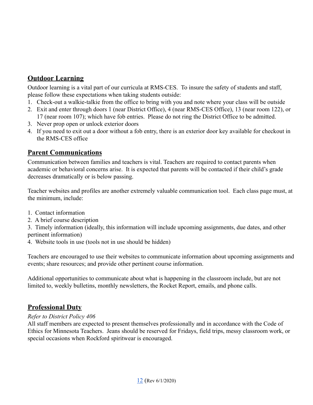## <span id="page-11-0"></span>**Outdoor Learning**

Outdoor learning is a vital part of our curricula at RMS-CES. To insure the safety of students and staff, please follow these expectations when taking students outside:

- 1. Check-out a walkie-talkie from the office to bring with you and note where your class will be outside
- 2. Exit and enter through doors 1 (near District Office), 4 (near RMS-CES Office), 13 (near room 122), or 17 (near room 107); which have fob entries. Please do not ring the District Office to be admitted.
- 3. Never prop open or unlock exterior doors
- 4. If you need to exit out a door without a fob entry, there is an exterior door key available for checkout in the RMS-CES office

## <span id="page-11-1"></span>**Parent Communications**

Communication between families and teachers is vital. Teachers are required to contact parents when academic or behavioral concerns arise. It is expected that parents will be contacted if their child's grade decreases dramatically or is below passing.

Teacher websites and profiles are another extremely valuable communication tool. Each class page must, at the minimum, include:

- 1. Contact information
- 2. A brief course description

3. Timely information (ideally, this information will include upcoming assignments, due dates, and other pertinent information)

4. Website tools in use (tools not in use should be hidden)

Teachers are encouraged to use their websites to communicate information about upcoming assignments and events; share resources; and provide other pertinent course information.

Additional opportunities to communicate about what is happening in the classroom include, but are not limited to, weekly bulletins, monthly newsletters, the Rocket Report, emails, and phone calls.

## <span id="page-11-2"></span>**Professional Duty**

#### *Refer to District Policy 406*

All staff members are expected to present themselves professionally and in accordance with the Code of Ethics for Minnesota Teachers. Jeans should be reserved for Fridays, field trips, messy classroom work, or special occasions when Rockford spiritwear is encouraged.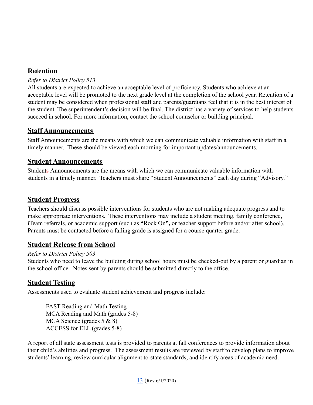## <span id="page-12-0"></span>**Retention**

#### *Refer to District Policy 513*

All students are expected to achieve an acceptable level of proficiency. Students who achieve at an acceptable level will be promoted to the next grade level at the completion of the school year. Retention of a student may be considered when professional staff and parents/guardians feel that it is in the best interest of the student. The superintendent's decision will be final. The district has a variety of services to help students succeed in school. For more information, contact the school counselor or building principal.

#### **Staff Announcements**

Staff Announcements are the means with which we can communicate valuable information with staff in a timely manner. These should be viewed each morning for important updates/announcements.

## <span id="page-12-1"></span>**Student Announcements**

Students Announcements are the means with which we can communicate valuable information with students in a timely manner. Teachers must share "Student Announcements" each day during "Advisory."

#### <span id="page-12-2"></span>**Student Progress**

Teachers should discuss possible interventions for students who are not making adequate progress and to make appropriate interventions. These interventions may include a student meeting, family conference, iTeam referrals, or academic support (such as **"**Rock On**",** or teacher support before and/or after school). Parents must be contacted before a failing grade is assigned for a course quarter grade.

#### <span id="page-12-3"></span>**Student Release from School**

#### *Refer to District Policy 503*

Students who need to leave the building during school hours must be checked-out by a parent or guardian in the school office. Notes sent by parents should be submitted directly to the office.

## <span id="page-12-4"></span>**Student Testing**

Assessments used to evaluate student achievement and progress include:

FAST Reading and Math Testing MCA Reading and Math (grades 5-8) MCA Science (grades 5 & 8) ACCESS for ELL (grades 5-8)

A report of all state assessment tests is provided to parents at fall conferences to provide information about their child's abilities and progress. The assessment results are reviewed by staff to develop plans to improve students' learning, review curricular alignment to state standards, and identify areas of academic need.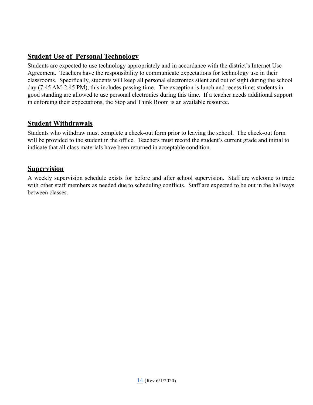## <span id="page-13-0"></span>**Student Use of Personal Technology**

Students are expected to use technology appropriately and in accordance with the district's Internet Use Agreement. Teachers have the responsibility to communicate expectations for technology use in their classrooms. Specifically, students will keep all personal electronics silent and out of sight during the school day (7:45 AM-2:45 PM), this includes passing time. The exception is lunch and recess time; students in good standing are allowed to use personal electronics during this time. If a teacher needs additional support in enforcing their expectations, the Stop and Think Room is an available resource.

## <span id="page-13-1"></span>**Student Withdrawals**

Students who withdraw must complete a check-out form prior to leaving the school. The check-out form will be provided to the student in the office. Teachers must record the student's current grade and initial to indicate that all class materials have been returned in acceptable condition.

## <span id="page-13-2"></span>**Supervision**

A weekly supervision schedule exists for before and after school supervision. Staff are welcome to trade with other staff members as needed due to scheduling conflicts. Staff are expected to be out in the hallways between classes.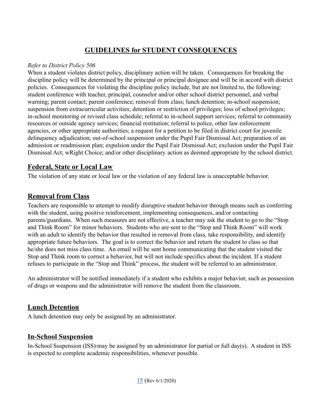## **GUIDELINES for STUDENT CONSEQUENCES**

#### *Refer to District Policy 506*

When a student violates district policy, disciplinary action will be taken. Consequences for breaking the discipline policy will be determined by the principal or principal designee and will be in accord with district policies. Consequences for violating the discipline policy include, but are not limited to, the following: student conference with teacher, principal, counselor and/or other school district personnel, and verbal warning; parent contact; parent conference; removal from class; lunch detention; in-school suspension; suspension from extracurricular activities; detention or restriction of privileges; loss of school privileges; in-school monitoring or revised class schedule; referral to in-school support services; referral to community resources or outside agency services; financial restitution; referral to police, other law enforcement agencies, or other appropriate authorities; a request for a petition to be filed in district court for juvenile delinquency adjudication; out-of-school suspension under the Pupil Fair Dismissal Act; preparation of an admission or readmission plan; expulsion under the Pupil Fair Dismissal Act; exclusion under the Pupil Fair Dismissal Act; wRight Choice; and/or other disciplinary action as deemed appropriate by the school district.

## <span id="page-14-0"></span>**Federal, State or Local Law**

The violation of any state or local law or the violation of any federal law is unacceptable behavior.

## <span id="page-14-1"></span>**Removal from Class**

Teachers are responsible to attempt to modify disruptive student behavior through means such as conferring with the student, using positive reinforcement, implementing consequences, and/or contacting parents/guardians. When such measures are not effective, a teacher may ask the student to go to the "Stop and Think Room" for minor behaviors. Students who are sent to the "Stop and Think Room" will work with an adult to identify the behavior that resulted in removal from class, take responsibility, and identify appropriate future behaviors. The goal is to correct the behavior and return the student to class so that he/she does not miss class time. An email will be sent home communicating that the student visited the Stop and Think room to correct a behavior, but will not include specifics about the incident. If a student refuses to participate in the "Stop and Think" process, the student will be referred to an administrator.

An administrator will be notified immediately if a student who exhibits a major behavior, such as possession of drugs or weapons and the administrator will remove the student from the classroom.

## <span id="page-14-2"></span>**Lunch Detention**

A lunch detention may only be assigned by an administrator.

## <span id="page-14-3"></span>**In-School Suspension**

In-School Suspension (ISS) may be assigned by an administrator for partial or full day(s). A student in ISS is expected to complete academic responsibilities, whenever possible.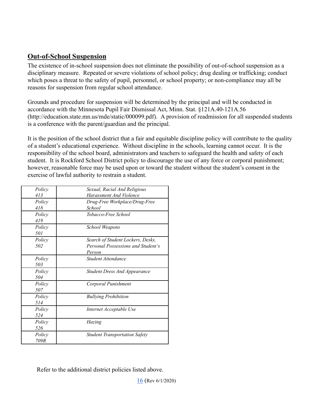## <span id="page-15-0"></span>**Out-of-School Suspension**

The existence of in-school suspension does not eliminate the possibility of out-of-school suspension as a disciplinary measure. Repeated or severe violations of school policy; drug dealing or trafficking; conduct which poses a threat to the safety of pupil, personnel, or school property; or non-compliance may all be reasons for suspension from regular school attendance.

Grounds and procedure for suspension will be determined by the principal and will be conducted in accordance with the Minnesota Pupil Fair Dismissal Act, Minn. Stat. §121A.40-121A.56 (http://education.state.mn.us/mde/static/000099.pdf). A provision of readmission for all suspended students is a conference with the parent/guardian and the principal.

It is the position of the school district that a fair and equitable discipline policy will contribute to the quality of a student's educational experience. Without discipline in the schools, learning cannot occur. It is the responsibility of the school board, administrators and teachers to safeguard the health and safety of each student. It is Rockford School District policy to discourage the use of any force or corporal punishment; however, reasonable force may be used upon or toward the student without the student's consent in the exercise of lawful authority to restrain a student.

| Policy | Sexual, Racial And Religious         |
|--------|--------------------------------------|
| 413    | <b>Harassment And Violence</b>       |
| Policy | Drug-Free Workplace/Drug-Free        |
| 418    | School                               |
| Policy | Tobacco-Free School                  |
| 419    |                                      |
| Policy | <b>School Weapons</b>                |
| 501    |                                      |
| Policy | Search of Student Lockers, Desks,    |
| 502    | Personal Possessions and Student's   |
|        | Person                               |
| Policy | Student Attendance                   |
| 503    |                                      |
| Policy | <b>Student Dress And Appearance</b>  |
| 504    |                                      |
| Policy | Corporal Punishment                  |
| 507    |                                      |
| Policy | <b>Bullying Prohibition</b>          |
| 514    |                                      |
| Policy | Internet Acceptable Use              |
| 524    |                                      |
| Policy | Hazing                               |
| 526    |                                      |
| Policy | <b>Student Transportation Safety</b> |
| 709R   |                                      |

Refer to the additional district policies listed above.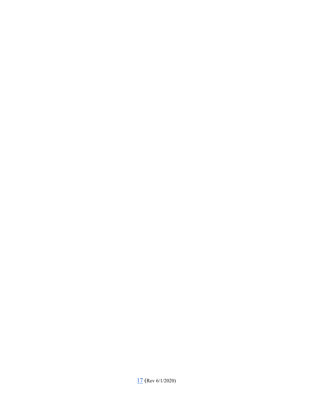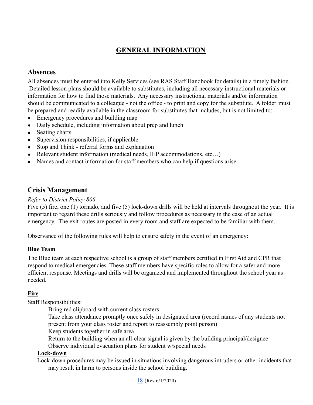## **GENERAL INFORMATION**

## <span id="page-17-0"></span>**Absences**

All absences must be entered into Kelly Services (see RAS Staff Handbook for details) in a timely fashion. Detailed lesson plans should be available to substitutes, including all necessary instructional materials or information for how to find those materials. Any necessary instructional materials and/or information should be communicated to a colleague - not the office - to print and copy for the substitute. A folder must be prepared and readily available in the classroom for substitutes that includes, but is not limited to:

- Emergency procedures and building map
- Daily schedule, including information about prep and lunch
- Seating charts
- Supervision responsibilities, if applicable
- Stop and Think referral forms and explanation
- Relevant student information (medical needs, IEP accommodations, etc...)
- Names and contact information for staff members who can help if questions arise

## **Crisis Management**

#### *Refer to District Policy 806*

Five (5) fire, one (1) tornado, and five (5) lock-down drills will be held at intervals throughout the year. It is important to regard these drills seriously and follow procedures as necessary in the case of an actual emergency. The exit routes are posted in every room and staff are expected to be familiar with them.

Observance of the following rules will help to ensure safety in the event of an emergency:

#### **Blue Team**

The Blue team at each respective school is a group of staff members certified in First Aid and CPR that respond to medical emergencies. These staff members have specific roles to allow for a safer and more efficient response. Meetings and drills will be organized and implemented throughout the school year as needed.

#### **Fire**

Staff Responsibilities:

- Bring red clipboard with current class rosters
- · Take class attendance promptly once safely in designated area (record names of any students not present from your class roster and report to reassembly point person)
- Keep students together in safe area
- · Return to the building when an all-clear signal is given by the building principal/designee
- Observe individual evacuation plans for student w/special needs

#### <span id="page-17-1"></span>**Lock-down**

Lock-down procedures may be issued in situations involving dangerous intruders or other incidents that may result in harm to persons inside the school building.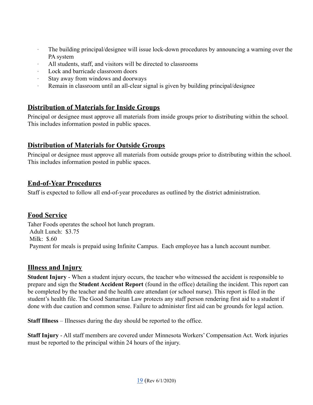- · The building principal/designee will issue lock-down procedures by announcing a warning over the PA system
- All students, staff, and visitors will be directed to classrooms
- Lock and barricade classroom doors
- Stay away from windows and doorways
- · Remain in classroom until an all-clear signal is given by building principal/designee

## **Distribution of Materials for Inside Groups**

Principal or designee must approve all materials from inside groups prior to distributing within the school. This includes information posted in public spaces.

## <span id="page-18-0"></span>**Distribution of Materials for Outside Groups**

Principal or designee must approve all materials from outside groups prior to distributing within the school. This includes information posted in public spaces.

## <span id="page-18-1"></span>**End-of-Year Procedures**

<span id="page-18-2"></span>Staff is expected to follow all end-of-year procedures as outlined by the district administration.

## **Food Service**

Taher Foods operates the school hot lunch program. Adult Lunch: \$3.75 Milk: \$.60 Payment for meals is prepaid using Infinite Campus. Each employee has a lunch account number.

## <span id="page-18-3"></span>**Illness and Injury**

**Student Injury** - When a student injury occurs, the teacher who witnessed the accident is responsible to prepare and sign the **Student Accident Report** (found in the office) detailing the incident. This report can be completed by the teacher and the health care attendant (or school nurse). This report is filed in the student's health file. The Good Samaritan Law protects any staff person rendering first aid to a student if done with due caution and common sense. Failure to administer first aid can be grounds for legal action.

**Staff Illness** – Illnesses during the day should be reported to the office.

**Staff Injury** - All staff members are covered under Minnesota Workers' Compensation Act. Work injuries must be reported to the principal within 24 hours of the injury.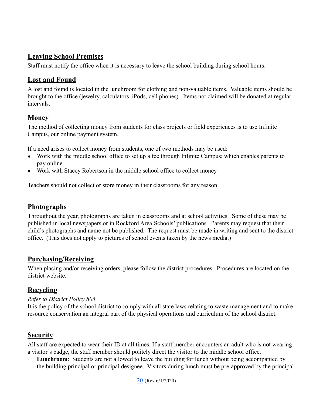## <span id="page-19-0"></span>**Leaving School Premises**

<span id="page-19-1"></span>Staff must notify the office when it is necessary to leave the school building during school hours.

## **Lost and Found**

A lost and found is located in the lunchroom for clothing and non-valuable items. Valuable items should be brought to the office (jewelry, calculators, iPods, cell phones). Items not claimed will be donated at regular intervals.

## <span id="page-19-2"></span>**Money**

The method of collecting money from students for class projects or field experiences is to use Infinite Campus, our online payment system.

If a need arises to collect money from students, one of two methods may be used:

- Work with the middle school office to set up a fee through Infinite Campus; which enables parents to pay online
- Work with Stacey Robertson in the middle school office to collect money

Teachers should not collect or store money in their classrooms for any reason.

## <span id="page-19-3"></span>**Photographs**

Throughout the year, photographs are taken in classrooms and at school activities. Some of these may be published in local newspapers or in Rockford Area Schools' publications. Parents may request that their child's photographs and name not be published. The request must be made in writing and sent to the district office. (This does not apply to pictures of school events taken by the news media.)

## <span id="page-19-4"></span>**Purchasing/Receiving**

When placing and/or receiving orders, please follow the district procedures. Procedures are located on the district website

## <span id="page-19-5"></span>**Recycling**

#### *Refer to District Policy 805*

It is the policy of the school district to comply with all state laws relating to waste management and to make resource conservation an integral part of the physical operations and curriculum of the school district.

## <span id="page-19-6"></span>**Security**

All staff are expected to wear their ID at all times. If a staff member encounters an adult who is not wearing a visitor's badge, the staff member should politely direct the visitor to the middle school office.

**Lunchroom**: Students are not allowed to leave the building for lunch without being accompanied by the building principal or principal designee. Visitors during lunch must be pre-approved by the principal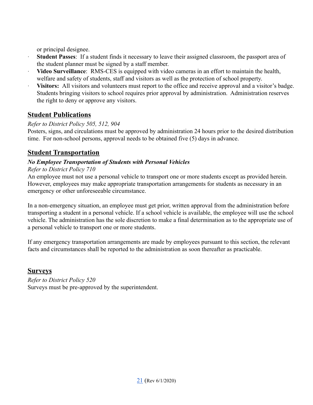or principal designee.

- **Student Passes**: If a student finds it necessary to leave their assigned classroom, the passport area of the student planner must be signed by a staff member.
- · **Video Surveillance**: RMS-CES is equipped with video cameras in an effort to maintain the health, welfare and safety of students, staff and visitors as well as the protection of school property.
- **Visitors:** All visitors and volunteers must report to the office and receive approval and a visitor's badge. Students bringing visitors to school requires prior approval by administration. Administration reserves the right to deny or approve any visitors.

## <span id="page-20-0"></span>**Student Publications**

## *Refer to District Policy 505, 512, 904*

Posters, signs, and circulations must be approved by administration 24 hours prior to the desired distribution time. For non-school persons, approval needs to be obtained five (5) days in advance.

## <span id="page-20-1"></span>**Student Transportation**

#### *No Employee Transportation of Students with Personal Vehicles*

#### *Refer to District Policy 710*

An employee must not use a personal vehicle to transport one or more students except as provided herein. However, employees may make appropriate transportation arrangements for students as necessary in an emergency or other unforeseeable circumstance.

In a non-emergency situation, an employee must get prior, written approval from the administration before transporting a student in a personal vehicle. If a school vehicle is available, the employee will use the school vehicle. The administration has the sole discretion to make a final determination as to the appropriate use of a personal vehicle to transport one or more students.

If any emergency transportation arrangements are made by employees pursuant to this section, the relevant facts and circumstances shall be reported to the administration as soon thereafter as practicable.

## <span id="page-20-2"></span>**Surveys**

*Refer to District Policy 520* Surveys must be pre-approved by the superintendent.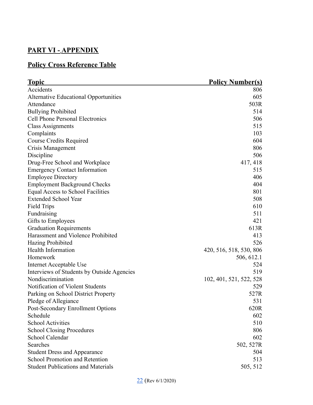## **PART VI - APPENDIX**

## <span id="page-21-0"></span>**Policy Cross Reference Table**

| <b>Topic</b>                                 | <b>Policy Number(s)</b> |
|----------------------------------------------|-------------------------|
| Accidents                                    | 806                     |
| <b>Alternative Educational Opportunities</b> | 605                     |
| Attendance                                   | 503R                    |
| <b>Bullying Prohibited</b>                   | 514                     |
| <b>Cell Phone Personal Electronics</b>       | 506                     |
| <b>Class Assignments</b>                     | 515                     |
| Complaints                                   | 103                     |
| <b>Course Credits Required</b>               | 604                     |
| Crisis Management                            | 806                     |
| Discipline                                   | 506                     |
| Drug-Free School and Workplace               | 417, 418                |
| <b>Emergency Contact Information</b>         | 515                     |
| <b>Employee Directory</b>                    | 406                     |
| <b>Employment Background Checks</b>          | 404                     |
| <b>Equal Access to School Facilities</b>     | 801                     |
| <b>Extended School Year</b>                  | 508                     |
| Field Trips                                  | 610                     |
| Fundraising                                  | 511                     |
| Gifts to Employees                           | 421                     |
| <b>Graduation Requirements</b>               | 613R                    |
| Harassment and Violence Prohibited           | 413                     |
| Hazing Prohibited                            | 526                     |
| <b>Health Information</b>                    | 420, 516, 518, 530, 806 |
| Homework                                     | 506, 612.1              |
| Internet Acceptable Use                      | 524                     |
| Interviews of Students by Outside Agencies   | 519                     |
| Nondiscrimination                            | 102, 401, 521, 522, 528 |
| Notification of Violent Students             | 529                     |
| Parking on School District Property          | 527R                    |
| Pledge of Allegiance                         | 531                     |
| <b>Post-Secondary Enrollment Options</b>     | 620R                    |
| Schedule                                     | 602                     |
| <b>School Activities</b>                     | 510                     |
| <b>School Closing Procedures</b>             | 806                     |
| School Calendar                              | 602                     |
| Searches                                     | 502, 527R               |
| <b>Student Dress and Appearance</b>          | 504                     |
| School Promotion and Retention               | 513                     |
| <b>Student Publications and Materials</b>    | 505, 512                |